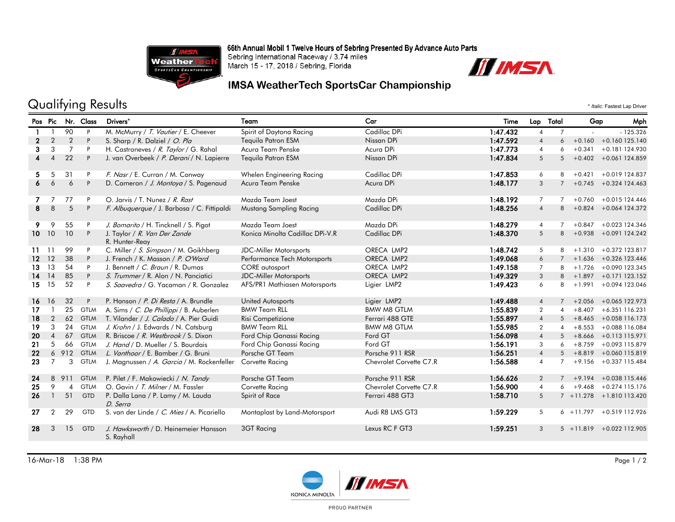66th Annual Mobil 1 Twelve Hours of Sebring Presented By Advance Auto Parts



Sebring International Raceway / 3.74 miles March 15 - 17, 2018 / Sebring, Florida



### **IMSA WeatherTech SportsCar Championship**

## Qualifying Results \* *Italic:* Fastest Lap Driver

Pos Pic Nr. Class Drivers\* Team Car Time Lap Total Gap Mph 90 P M. McMurry / T. Vautier / E. Cheever Spirit of Daytona Racing Cadillac DPi 1:47.432 4 7 - - 125.326 2 2 2 P S. Sharp / R. Dalziel / *O. Pla* Tequila Patron ESM Nissan DPi 1:**47.592** 4 6 +0.160 +0.160 125.140<br>2 3 3 7 P H. Castroneves / *R. Taylor* / G. Rahal Acura Team Penske Acura DPi 1:4**7.773** 4 6 +0.341 +0.181 124.930 3 3 3 1:47.773 P H. Castroneves / R. Taylor / G. Rahal Acura Team Penske Acura DPi 1:47.773 4 6 +0.341 +0.181 124.930 4 4 22 P J. van Overbeek / *P. Derani* / N. Lapierre Tequila Patron ESM Nissan DPi 1:**47.834** 5 5 +0.402 +0.061 124.859 5 5 31 P F. Nasr / E. Curran / M. Conway Whelen Engineering Racing Cadillac DPi 1:47.853 6 8 +0.421 +0.019 124.837 6 6 6 P D. Cameron / J. Montoya / S. Pagenaud Acura Team Penske Acura DPi Acura DPi 1:48.177 3 7 +0.745 +0.324 124.463 7 7 77 P O. Jarvis / T. Nunez / *R. Rast* Mazda Team Joest Mazda DPi Mazda DPi 1:48.192 7 7 +0.760 +0.015 124.446 8 8 5 P F. Albuquerque / J. Barbosa / C. Fittipaldi Mustang Sampling Racing Cadillac DPi 1:48.256 4 8 +0.824 +0.064 124.372 9 9 55 P J. Bomarito / H. Tincknell / S. Pigot Mazda Team Joest Mazda DPi 1:48.279 4 7 +0.847 +0.023 124.346 Konica Minolta Cadillac DPi-V.R Cadillac DPi **Candillac DPi 1:48.370** + 5 8 +0.938 +0.091 124.242 R. Hunter-Reay 10 10 10 P J. Taylor / R. Van Der Zande 11 11 99 P C. Miller / S. Simpson / M. Goikhberg JDC-Miller Motorsports ORECA LMP2 1:48.742 5 8 +1.310 +0.372 123.817 12 12 38 P J. French / K. Masson / P. O'Ward Performance Tech Motorsports ORECA LMP2 1:49.068 6 7 +1.636 +0.326 123.446 13 13 54 P J. Bennett / C. Braun / R. Dumas CORE autosport CORECA LMP2 1:49.158 7 8 +1.726 +0.090 123.345 14 14 85 P S. Trummer / R. Alon / N. Panciatici JDC-Miller Motorsports ORECA LMP2 1:49.329 3 8 +1.897 +0.171 123.152 15 15 52 P S. Saavedra / G. Yacaman / R. Gonzalez AFS/PR1 Mathiasen Motorsports Ligier LMP2 1:49.423 6 8 +1.991 +0.094 123.046 16 16 32 P P. Hanson *(P. Di Resta /* A. Brundle United Autosports Ligier LMP2 1:49.488 4 7 +2.056 +0.065 122.973 17 1 25 GTLM A. Sims / C. De Phillippi / B. Auberlen BMW Team RLL BMW M8 GTLM 1:55.839 2 4 +8.407 +6.351 116.231 18 2 62 GTLM T. Vilander / J. Calado / A. Pier Guidi Risi Competizione Ferrari 488 GTE 1:55.897 4 5 +8.465 +0.058 116.173 19 3 24 GTLM J. Krohn / J. Edwards / N. Catsburg BMW Team RLL BMW M8 GTLM 1:55.985 2 4 +8.553 +0.088 116.084 20 4 67 GTLM R. Briscoe / R. Westbrook / S. Dixon Ford Chip Ganassi Racing Ford GT 1:56.098 4 5 +8.666 +0.113 115.971 21 5 66 GTLM J. Hand / D. Mueller / S. Bourdais Ford Chip Ganassi Racing Ford GT 1:56.191 3 6 +8.759 +0.093 115.879 22 6 912 GTLM L. Vanthoor / E. Bamber / G. Bruni Porsche GT Team Porsche 911 RSR 1:56.251 4 5 +8.819 +0.060 115.819 23 7 3 GTLM J. Magnussen / A. Garcia / M. Rockenfeller Corvette Racing Chevrolet Corvette C7.R 1:56.588 4 7 +9.156 +0.337 115.484 24 8 911 GTLM P. Pilet / F. Makowiecki / N. Tandy Porsche GT Team Porsche 911 RSR 1:56.626 2 7 +9.194 +0.038 115.446 25 9 4 GTLM O. Gavin / T. Milner / M. Fassler Corvette Racing Chevrolet Corvette C7.R 1:56.900 4 6 +9.468 +0.274 115.176 26 1 51 GTD P. Dalla Lana / P. Lamy / M. Lauda 1:58.710 5 7 +11.278 +1.810 113.420 D. Serra 27 2 29 GTD S. van der Linde / C. Mies / A. Picariello Montaplast by Land-Motorsport Audi R8 LMS GT3 1:59.229 5 6 +11.797 +0.519 112.926 28 3 15 GTD *J. Hawksworth* / D. Heinemeier Hansson 3GT Racing Lexus RC FGT3 25 25 251 3 5 +11.819 +0.022 112.905 S. Rayhall



PROUD PARTNER